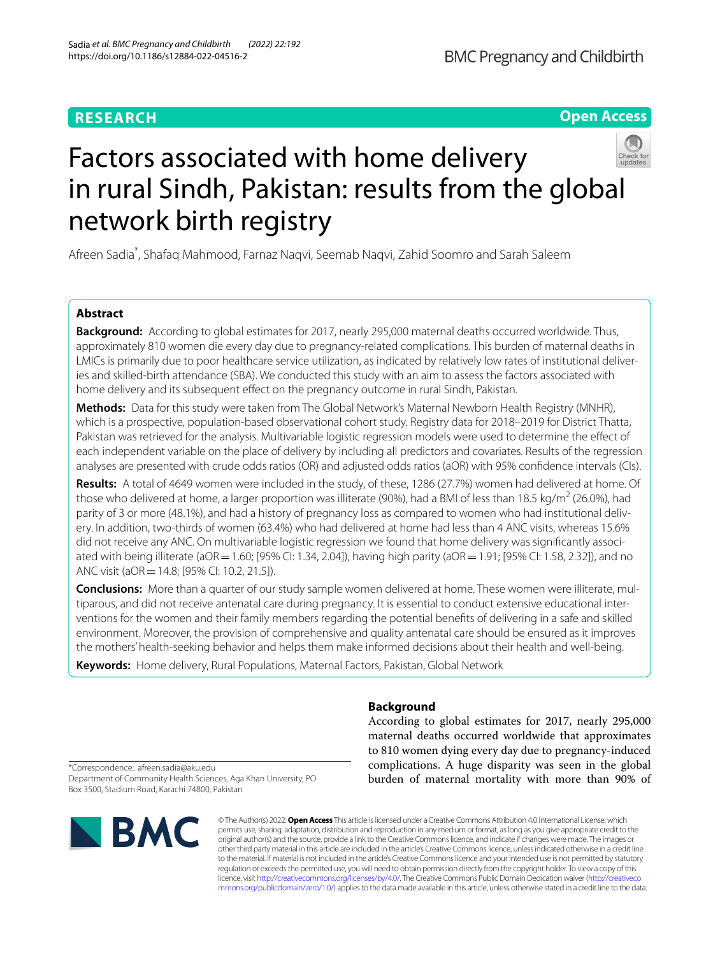# **RESEARCH**

# **Open Access**



# Factors associated with home delivery in rural Sindh, Pakistan: results from the global network birth registry

Afreen Sadia\* , Shafaq Mahmood, Farnaz Naqvi, Seemab Naqvi, Zahid Soomro and Sarah Saleem

# **Abstract**

**Background:** According to global estimates for 2017, nearly 295,000 maternal deaths occurred worldwide. Thus, approximately 810 women die every day due to pregnancy-related complications. This burden of maternal deaths in LMICs is primarily due to poor healthcare service utilization, as indicated by relatively low rates of institutional deliveries and skilled-birth attendance (SBA). We conducted this study with an aim to assess the factors associated with home delivery and its subsequent effect on the pregnancy outcome in rural Sindh, Pakistan.

**Methods:** Data for this study were taken from The Global Network's Maternal Newborn Health Registry (MNHR), which is a prospective, population-based observational cohort study. Registry data for 2018–2019 for District Thatta, Pakistan was retrieved for the analysis. Multivariable logistic regression models were used to determine the efect of each independent variable on the place of delivery by including all predictors and covariates. Results of the regression analyses are presented with crude odds ratios (OR) and adjusted odds ratios (aOR) with 95% confdence intervals (CIs).

**Results:** A total of 4649 women were included in the study, of these, 1286 (27.7%) women had delivered at home. Of those who delivered at home, a larger proportion was illiterate (90%), had a BMI of less than 18.5 kg/m<sup>2</sup> (26.0%), had parity of 3 or more (48.1%), and had a history of pregnancy loss as compared to women who had institutional delivery. In addition, two-thirds of women (63.4%) who had delivered at home had less than 4 ANC visits, whereas 15.6% did not receive any ANC. On multivariable logistic regression we found that home delivery was signifcantly associated with being illiterate (aOR=1.60; [95% CI: 1.34, 2.04]), having high parity (aOR=1.91; [95% CI: 1.58, 2.32]), and no ANC visit (aOR = 14.8; [95% CI: 10.2, 21.5]).

**Conclusions:** More than a quarter of our study sample women delivered at home. These women were illiterate, multiparous, and did not receive antenatal care during pregnancy. It is essential to conduct extensive educational interventions for the women and their family members regarding the potential benefts of delivering in a safe and skilled environment. Moreover, the provision of comprehensive and quality antenatal care should be ensured as it improves the mothers' health-seeking behavior and helps them make informed decisions about their health and well-being.

**Keywords:** Home delivery, Rural Populations, Maternal Factors, Pakistan, Global Network

# **Background**

According to global estimates for 2017, nearly 295,000 maternal deaths occurred worldwide that approximates to 810 women dying every day due to pregnancy-induced complications. A huge disparity was seen in the global burden of maternal mortality with more than 90% of

\*Correspondence: afreen.sadia@aku.edu Department of Community Health Sciences, Aga Khan University, PO Box 3500, Stadium Road, Karachi 74800, Pakistan



© The Author(s) 2022. **Open Access** This article is licensed under a Creative Commons Attribution 4.0 International License, which permits use, sharing, adaptation, distribution and reproduction in any medium or format, as long as you give appropriate credit to the original author(s) and the source, provide a link to the Creative Commons licence, and indicate if changes were made. The images or other third party material in this article are included in the article's Creative Commons licence, unless indicated otherwise in a credit line to the material. If material is not included in the article's Creative Commons licence and your intended use is not permitted by statutory regulation or exceeds the permitted use, you will need to obtain permission directly from the copyright holder. To view a copy of this licence, visit [http://creativecommons.org/licenses/by/4.0/.](http://creativecommons.org/licenses/by/4.0/) The Creative Commons Public Domain Dedication waiver ([http://creativeco](http://creativecommons.org/publicdomain/zero/1.0/) [mmons.org/publicdomain/zero/1.0/](http://creativecommons.org/publicdomain/zero/1.0/)) applies to the data made available in this article, unless otherwise stated in a credit line to the data.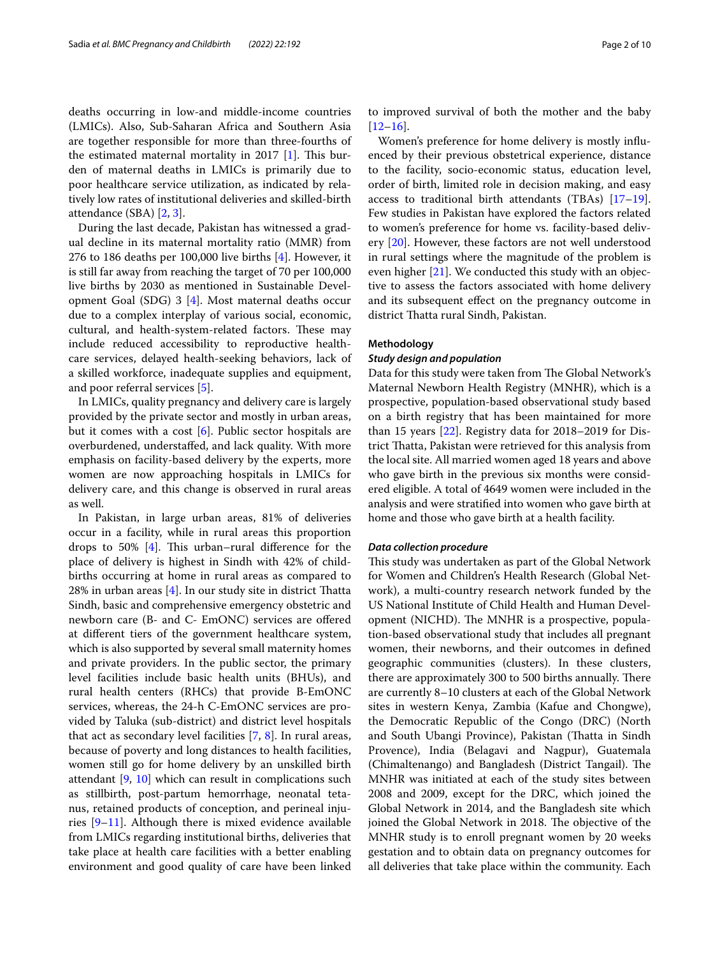deaths occurring in low-and middle-income countries (LMICs). Also, Sub-Saharan Africa and Southern Asia are together responsible for more than three-fourths of the estimated maternal mortality in 2017  $[1]$  $[1]$ . This burden of maternal deaths in LMICs is primarily due to poor healthcare service utilization, as indicated by relatively low rates of institutional deliveries and skilled-birth attendance (SBA) [[2](#page-8-1), [3\]](#page-8-2).

During the last decade, Pakistan has witnessed a gradual decline in its maternal mortality ratio (MMR) from 276 to 186 deaths per 100,000 live births [\[4](#page-8-3)]. However, it is still far away from reaching the target of 70 per 100,000 live births by 2030 as mentioned in Sustainable Development Goal (SDG) 3 [\[4](#page-8-3)]. Most maternal deaths occur due to a complex interplay of various social, economic, cultural, and health-system-related factors. These may include reduced accessibility to reproductive healthcare services, delayed health-seeking behaviors, lack of a skilled workforce, inadequate supplies and equipment, and poor referral services [\[5](#page-8-4)].

In LMICs, quality pregnancy and delivery care is largely provided by the private sector and mostly in urban areas, but it comes with a cost [\[6](#page-8-5)]. Public sector hospitals are overburdened, understafed, and lack quality. With more emphasis on facility-based delivery by the experts, more women are now approaching hospitals in LMICs for delivery care, and this change is observed in rural areas as well.

In Pakistan, in large urban areas, 81% of deliveries occur in a facility, while in rural areas this proportion drops to 50%  $[4]$  $[4]$ . This urban–rural difference for the place of delivery is highest in Sindh with 42% of childbirths occurring at home in rural areas as compared to 28% in urban areas  $[4]$  $[4]$ . In our study site in district Thatta Sindh, basic and comprehensive emergency obstetric and newborn care (B- and C- EmONC) services are ofered at diferent tiers of the government healthcare system, which is also supported by several small maternity homes and private providers. In the public sector, the primary level facilities include basic health units (BHUs), and rural health centers (RHCs) that provide B-EmONC services, whereas, the 24-h C-EmONC services are provided by Taluka (sub-district) and district level hospitals that act as secondary level facilities [[7,](#page-8-6) [8\]](#page-8-7). In rural areas, because of poverty and long distances to health facilities, women still go for home delivery by an unskilled birth attendant  $[9, 10]$  $[9, 10]$  $[9, 10]$  $[9, 10]$  which can result in complications such as stillbirth, post-partum hemorrhage, neonatal tetanus, retained products of conception, and perineal injuries [\[9](#page-8-8)[–11](#page-8-10)]. Although there is mixed evidence available from LMICs regarding institutional births, deliveries that take place at health care facilities with a better enabling environment and good quality of care have been linked to improved survival of both the mother and the baby [[12–](#page-8-11)[16\]](#page-8-12).

Women's preference for home delivery is mostly infuenced by their previous obstetrical experience, distance to the facility, socio-economic status, education level, order of birth, limited role in decision making, and easy access to traditional birth attendants (TBAs) [[17](#page-8-13)[–19](#page-8-14)]. Few studies in Pakistan have explored the factors related to women's preference for home vs. facility-based delivery [\[20\]](#page-8-15). However, these factors are not well understood in rural settings where the magnitude of the problem is even higher [\[21](#page-8-16)]. We conducted this study with an objective to assess the factors associated with home delivery and its subsequent efect on the pregnancy outcome in district Thatta rural Sindh, Pakistan.

## **Methodology**

#### *Study design and population*

Data for this study were taken from The Global Network's Maternal Newborn Health Registry (MNHR), which is a prospective, population-based observational study based on a birth registry that has been maintained for more than 15 years [[22\]](#page-8-17). Registry data for 2018–2019 for District Thatta, Pakistan were retrieved for this analysis from the local site. All married women aged 18 years and above who gave birth in the previous six months were considered eligible. A total of 4649 women were included in the analysis and were stratifed into women who gave birth at home and those who gave birth at a health facility.

#### *Data collection procedure*

This study was undertaken as part of the Global Network for Women and Children's Health Research (Global Network), a multi-country research network funded by the US National Institute of Child Health and Human Development (NICHD). The MNHR is a prospective, population-based observational study that includes all pregnant women, their newborns, and their outcomes in defned geographic communities (clusters). In these clusters, there are approximately 300 to 500 births annually. There are currently 8–10 clusters at each of the Global Network sites in western Kenya, Zambia (Kafue and Chongwe), the Democratic Republic of the Congo (DRC) (North and South Ubangi Province), Pakistan (Thatta in Sindh Provence), India (Belagavi and Nagpur), Guatemala (Chimaltenango) and Bangladesh (District Tangail). The MNHR was initiated at each of the study sites between 2008 and 2009, except for the DRC, which joined the Global Network in 2014, and the Bangladesh site which joined the Global Network in 2018. The objective of the MNHR study is to enroll pregnant women by 20 weeks gestation and to obtain data on pregnancy outcomes for all deliveries that take place within the community. Each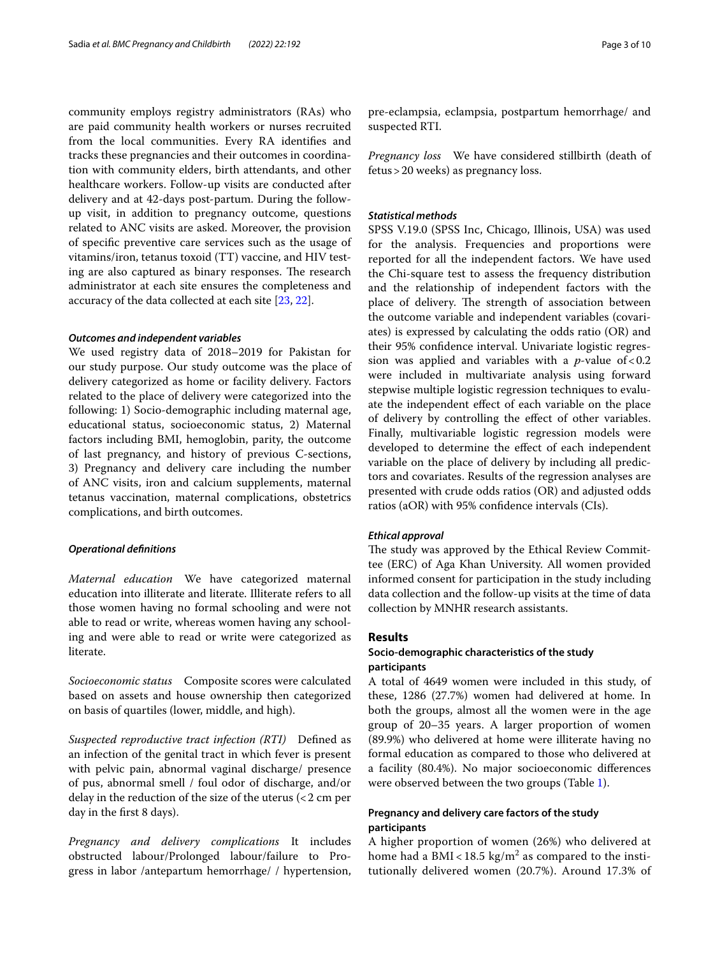community employs registry administrators (RAs) who are paid community health workers or nurses recruited from the local communities. Every RA identifes and tracks these pregnancies and their outcomes in coordination with community elders, birth attendants, and other healthcare workers. Follow-up visits are conducted after delivery and at 42-days post-partum. During the followup visit, in addition to pregnancy outcome, questions related to ANC visits are asked. Moreover, the provision of specifc preventive care services such as the usage of vitamins/iron, tetanus toxoid (TT) vaccine, and HIV testing are also captured as binary responses. The research administrator at each site ensures the completeness and accuracy of the data collected at each site [\[23](#page-8-18), [22](#page-8-17)].

#### *Outcomes and independent variables*

We used registry data of 2018–2019 for Pakistan for our study purpose. Our study outcome was the place of delivery categorized as home or facility delivery. Factors related to the place of delivery were categorized into the following: 1) Socio-demographic including maternal age, educational status, socioeconomic status, 2) Maternal factors including BMI, hemoglobin, parity, the outcome of last pregnancy, and history of previous C-sections, 3) Pregnancy and delivery care including the number of ANC visits, iron and calcium supplements, maternal tetanus vaccination, maternal complications, obstetrics complications, and birth outcomes.

#### *Operational defnitions*

*Maternal education* We have categorized maternal education into illiterate and literate. Illiterate refers to all those women having no formal schooling and were not able to read or write, whereas women having any schooling and were able to read or write were categorized as literate.

*Socioeconomic status* Composite scores were calculated based on assets and house ownership then categorized on basis of quartiles (lower, middle, and high).

*Suspected reproductive tract infection (RTI)* Defned as an infection of the genital tract in which fever is present with pelvic pain, abnormal vaginal discharge/ presence of pus, abnormal smell / foul odor of discharge, and/or delay in the reduction of the size of the uterus (<2 cm per day in the frst 8 days).

*Pregnancy and delivery complications* It includes obstructed labour/Prolonged labour/failure to Progress in labor /antepartum hemorrhage/ / hypertension, pre-eclampsia, eclampsia, postpartum hemorrhage/ and suspected RTI.

*Pregnancy loss* We have considered stillbirth (death of fetus>20 weeks) as pregnancy loss.

# *Statistical methods*

SPSS V.19.0 (SPSS Inc, Chicago, Illinois, USA) was used for the analysis. Frequencies and proportions were reported for all the independent factors. We have used the Chi-square test to assess the frequency distribution and the relationship of independent factors with the place of delivery. The strength of association between the outcome variable and independent variables (covariates) is expressed by calculating the odds ratio (OR) and their 95% confdence interval. Univariate logistic regression was applied and variables with a  $p$ -value of <0.2 were included in multivariate analysis using forward stepwise multiple logistic regression techniques to evaluate the independent efect of each variable on the place of delivery by controlling the efect of other variables. Finally, multivariable logistic regression models were developed to determine the efect of each independent variable on the place of delivery by including all predictors and covariates. Results of the regression analyses are presented with crude odds ratios (OR) and adjusted odds ratios (aOR) with 95% confdence intervals (CIs).

## *Ethical approval*

The study was approved by the Ethical Review Committee (ERC) of Aga Khan University. All women provided informed consent for participation in the study including data collection and the follow-up visits at the time of data collection by MNHR research assistants.

# **Results**

# **Socio‑demographic characteristics of the study participants**

A total of 4649 women were included in this study, of these, 1286 (27.7%) women had delivered at home. In both the groups, almost all the women were in the age group of 20–35 years. A larger proportion of women (89.9%) who delivered at home were illiterate having no formal education as compared to those who delivered at a facility (80.4%). No major socioeconomic diferences were observed between the two groups (Table [1](#page-3-0)).

# **Pregnancy and delivery care factors of the study participants**

A higher proportion of women (26%) who delivered at home had a BMI <  $18.5 \text{ kg/m}^2$  as compared to the institutionally delivered women (20.7%). Around 17.3% of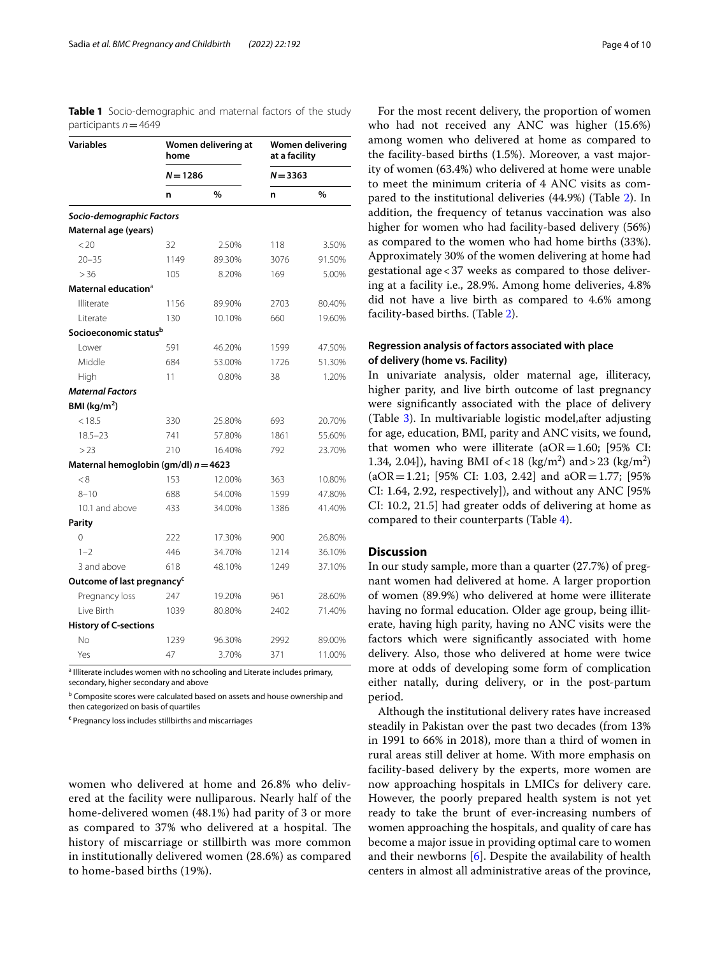<span id="page-3-0"></span>**Table 1** Socio-demographic and maternal factors of the study participants *n*=4649

| <b>Variables</b>                       | home                              | Women delivering at |            | <b>Women delivering</b><br>at a facility |  |  |  |
|----------------------------------------|-----------------------------------|---------------------|------------|------------------------------------------|--|--|--|
|                                        | $N = 1286$                        |                     | $N = 3363$ |                                          |  |  |  |
|                                        | n                                 | $\%$                | n          | $\%$                                     |  |  |  |
| Socio-demographic Factors              |                                   |                     |            |                                          |  |  |  |
| Maternal age (years)                   |                                   |                     |            |                                          |  |  |  |
| < 20                                   | 32                                | 2.50%               | 118        | 3.50%                                    |  |  |  |
| $20 - 35$                              | 1149                              | 89.30%              | 3076       | 91.50%                                   |  |  |  |
| > 36                                   | 105                               | 8.20%               | 169        | 5.00%                                    |  |  |  |
| Maternal education $^{\text{a}}$       |                                   |                     |            |                                          |  |  |  |
| Illiterate                             | 1156                              | 89.90%              | 2703       | 80.40%                                   |  |  |  |
| Literate                               | 130                               | 10.10%              | 660        | 19.60%                                   |  |  |  |
|                                        | Socioeconomic status <sup>b</sup> |                     |            |                                          |  |  |  |
| Lower                                  | 591                               | 46.20%              | 1599       | 47.50%                                   |  |  |  |
| Middle                                 | 684                               | 53.00%              | 1726       | 51.30%                                   |  |  |  |
| High                                   | 11                                | 0.80%               | 38         | 1.20%                                    |  |  |  |
| <b>Maternal Factors</b>                |                                   |                     |            |                                          |  |  |  |
| BMI ( $\text{kg/m}^2$ )                |                                   |                     |            |                                          |  |  |  |
| < 18.5                                 | 330                               | 25.80%              | 693        | 20.70%                                   |  |  |  |
| $18.5 - 23$                            | 741                               | 57.80%              | 1861       | 55.60%                                   |  |  |  |
| >23                                    | 210                               | 16.40%              | 792        | 23.70%                                   |  |  |  |
| Maternal hemoglobin (gm/dl) $n = 4623$ |                                   |                     |            |                                          |  |  |  |
| < 8                                    | 153                               | 12.00%              | 363        | 10.80%                                   |  |  |  |
| $8 - 10$                               | 688                               | 54.00%              | 1599       | 47.80%                                   |  |  |  |
| 10.1 and above                         | 433                               | 34.00%              | 1386       | 41.40%                                   |  |  |  |
| Parity                                 |                                   |                     |            |                                          |  |  |  |
| $\Omega$                               | 222                               | 17.30%              | 900        | 26.80%                                   |  |  |  |
| $1 - 2$                                | 446                               | 34.70%              | 1214       | 36.10%                                   |  |  |  |
| 3 and above                            | 618                               | 48.10%              | 1249       | 37.10%                                   |  |  |  |
| Outcome of last pregnancy <sup>c</sup> |                                   |                     |            |                                          |  |  |  |
| Pregnancy loss                         | 247                               | 19.20%              | 961        | 28.60%                                   |  |  |  |
| Live Birth                             | 1039                              | 80.80%              | 2402       | 71.40%                                   |  |  |  |
| <b>History of C-sections</b>           |                                   |                     |            |                                          |  |  |  |
| No                                     | 1239                              | 96.30%              | 2992       | 89.00%                                   |  |  |  |
| Yes                                    | 47                                | 3.70%               | 371        | 11.00%                                   |  |  |  |

<sup>a</sup> Illiterate includes women with no schooling and Literate includes primary, secondary, higher secondary and above

**b** Composite scores were calculated based on assets and house ownership and then categorized on basis of quartiles

**c** Pregnancy loss includes stillbirths and miscarriages

women who delivered at home and 26.8% who delivered at the facility were nulliparous. Nearly half of the home-delivered women (48.1%) had parity of 3 or more as compared to 37% who delivered at a hospital. The history of miscarriage or stillbirth was more common in institutionally delivered women (28.6%) as compared to home-based births (19%).

For the most recent delivery, the proportion of women who had not received any ANC was higher (15.6%) among women who delivered at home as compared to the facility-based births (1.5%). Moreover, a vast majority of women (63.4%) who delivered at home were unable to meet the minimum criteria of 4 ANC visits as compared to the institutional deliveries (44.9%) (Table [2](#page-4-0)). In addition, the frequency of tetanus vaccination was also higher for women who had facility-based delivery (56%) as compared to the women who had home births (33%). Approximately 30% of the women delivering at home had gestational age<37 weeks as compared to those delivering at a facility i.e., 28.9%. Among home deliveries, 4.8% did not have a live birth as compared to 4.6% among facility-based births. (Table [2](#page-4-0)).

# **Regression analysis of factors associated with place of delivery (home vs. Facility)**

In univariate analysis, older maternal age, illiteracy, higher parity, and live birth outcome of last pregnancy were signifcantly associated with the place of delivery (Table [3\)](#page-5-0). In multivariable logistic model,after adjusting for age, education, BMI, parity and ANC visits, we found, that women who were illiterate ( $aOR=1.60$ ; [95% CI: 1.34, 2.04]), having BMI of < 18 (kg/m<sup>2</sup>) and > 23 (kg/m<sup>2</sup>)  $(aOR = 1.21; [95\% CI: 1.03, 2.42]$  and  $aOR = 1.77; [95\%]$ CI: 1.64, 2.92, respectively]), and without any ANC [95% CI: 10.2, 21.5] had greater odds of delivering at home as compared to their counterparts (Table [4](#page-7-0)).

# **Discussion**

In our study sample, more than a quarter (27.7%) of pregnant women had delivered at home. A larger proportion of women (89.9%) who delivered at home were illiterate having no formal education. Older age group, being illiterate, having high parity, having no ANC visits were the factors which were signifcantly associated with home delivery. Also, those who delivered at home were twice more at odds of developing some form of complication either natally, during delivery, or in the post-partum period.

Although the institutional delivery rates have increased steadily in Pakistan over the past two decades (from 13% in 1991 to 66% in 2018), more than a third of women in rural areas still deliver at home. With more emphasis on facility-based delivery by the experts, more women are now approaching hospitals in LMICs for delivery care. However, the poorly prepared health system is not yet ready to take the brunt of ever-increasing numbers of women approaching the hospitals, and quality of care has become a major issue in providing optimal care to women and their newborns [[6\]](#page-8-5). Despite the availability of health centers in almost all administrative areas of the province,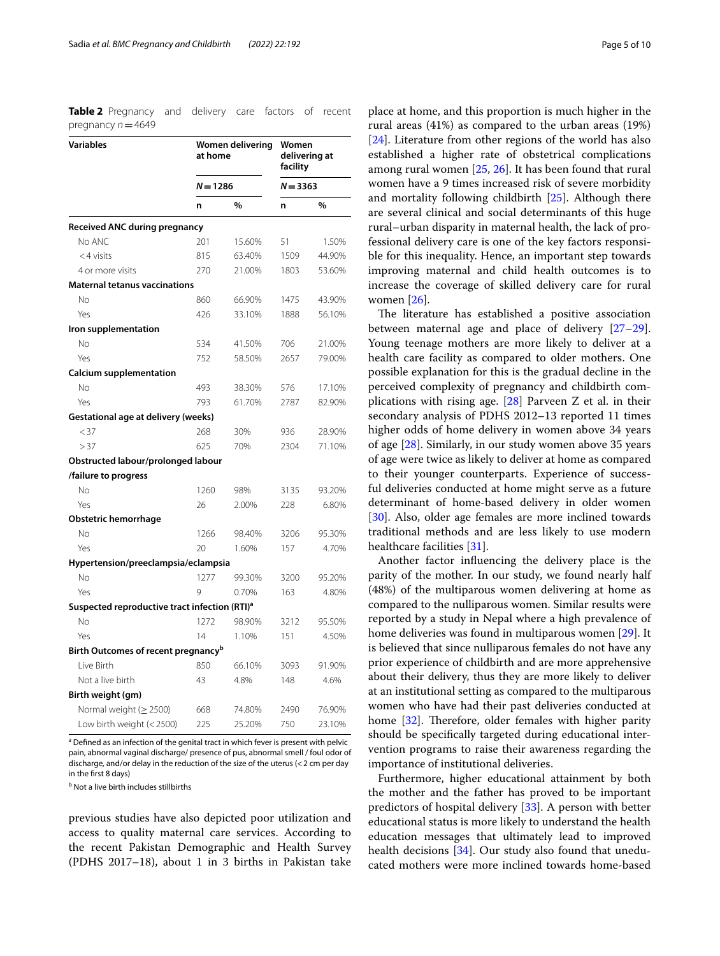<span id="page-4-0"></span>**Table 2** Pregnancy and delivery care factors of recent pregnancy *n*=4649

| <b>Variables</b>                                          | Women delivering<br>at home<br>$N = 1286$ |        | Women<br>delivering at<br>facility<br>$N = 3363$ |        |
|-----------------------------------------------------------|-------------------------------------------|--------|--------------------------------------------------|--------|
|                                                           |                                           |        |                                                  |        |
|                                                           | n                                         | %      | n                                                | %      |
| Received ANC during pregnancy                             |                                           |        |                                                  |        |
| No ANC                                                    | 201                                       | 15.60% | 51                                               | 1.50%  |
| $<$ 4 visits                                              | 815                                       | 63.40% | 1509                                             | 44.90% |
| 4 or more visits                                          | 270                                       | 21.00% | 1803                                             | 53.60% |
| <b>Maternal tetanus vaccinations</b>                      |                                           |        |                                                  |        |
| No                                                        | 860                                       | 66.90% | 1475                                             | 43.90% |
| Yes                                                       | 426                                       | 33.10% | 1888                                             | 56.10% |
| Iron supplementation                                      |                                           |        |                                                  |        |
| <b>No</b>                                                 | 534                                       | 41.50% | 706                                              | 21.00% |
| Yes                                                       | 752                                       | 58.50% | 2657                                             | 79.00% |
| <b>Calcium supplementation</b>                            |                                           |        |                                                  |        |
| <b>No</b>                                                 | 493                                       | 38.30% | 576                                              | 17.10% |
| Yes                                                       | 793                                       | 61.70% | 2787                                             | 82.90% |
| <b>Gestational age at delivery (weeks)</b>                |                                           |        |                                                  |        |
| < 37                                                      | 268                                       | 30%    | 936                                              | 28.90% |
| >37                                                       | 625                                       | 70%    | 2304                                             | 71.10% |
| Obstructed labour/prolonged labour                        |                                           |        |                                                  |        |
| /failure to progress                                      |                                           |        |                                                  |        |
| No                                                        | 1260                                      | 98%    | 3135                                             | 93.20% |
| Yes                                                       | 26                                        | 2.00%  | 228                                              | 6.80%  |
| Obstetric hemorrhage                                      |                                           |        |                                                  |        |
| <b>No</b>                                                 | 1266                                      | 98.40% | 3206                                             | 95.30% |
| Yes                                                       | 20                                        | 1.60%  | 157                                              | 4.70%  |
| Hypertension/preeclampsia/eclampsia                       |                                           |        |                                                  |        |
| No                                                        | 1277                                      | 99.30% | 3200                                             | 95.20% |
| Yes                                                       | 9                                         | 0.70%  | 163                                              | 4.80%  |
| Suspected reproductive tract infection (RTI) <sup>a</sup> |                                           |        |                                                  |        |
| No                                                        | 1272                                      | 98.90% | 3212                                             | 95.50% |
| Yes                                                       | 14                                        | 1.10%  | 151                                              | 4.50%  |
| Birth Outcomes of recent pregnancy <sup>b</sup>           |                                           |        |                                                  |        |
| Live Birth                                                | 850                                       | 66.10% | 3093                                             | 91.90% |
| Not a live birth                                          | 43                                        | 4.8%   | 148                                              | 4.6%   |
| Birth weight (gm)                                         |                                           |        |                                                  |        |
| Normal weight ( $\geq$ 2500)                              | 668                                       | 74.80% | 2490                                             | 76.90% |
| Low birth weight (< 2500)                                 | 225                                       | 25.20% | 750                                              | 23.10% |

<sup>a</sup> Defined as an infection of the genital tract in which fever is present with pelvic pain, abnormal vaginal discharge/ presence of pus, abnormal smell / foul odor of discharge, and/or delay in the reduction of the size of the uterus (<2 cm per day in the frst 8 days)

<sup>b</sup> Not a live birth includes stillbirths

previous studies have also depicted poor utilization and access to quality maternal care services. According to the recent Pakistan Demographic and Health Survey (PDHS 2017–18), about 1 in 3 births in Pakistan take

place at home, and this proportion is much higher in the rural areas (41%) as compared to the urban areas (19%) [[24\]](#page-8-19). Literature from other regions of the world has also established a higher rate of obstetrical complications among rural women [[25](#page-8-20), [26](#page-8-21)]. It has been found that rural women have a 9 times increased risk of severe morbidity and mortality following childbirth [\[25](#page-8-20)]. Although there are several clinical and social determinants of this huge rural–urban disparity in maternal health, the lack of professional delivery care is one of the key factors responsible for this inequality. Hence, an important step towards improving maternal and child health outcomes is to increase the coverage of skilled delivery care for rural women [\[26](#page-8-21)].

The literature has established a positive association between maternal age and place of delivery [[27](#page-8-22)[–29](#page-8-23)]. Young teenage mothers are more likely to deliver at a health care facility as compared to older mothers. One possible explanation for this is the gradual decline in the perceived complexity of pregnancy and childbirth complications with rising age. [[28](#page-8-24)] Parveen Z et al. in their secondary analysis of PDHS 2012–13 reported 11 times higher odds of home delivery in women above 34 years of age [[28\]](#page-8-24). Similarly, in our study women above 35 years of age were twice as likely to deliver at home as compared to their younger counterparts. Experience of successful deliveries conducted at home might serve as a future determinant of home-based delivery in older women [[30\]](#page-8-25). Also, older age females are more inclined towards traditional methods and are less likely to use modern healthcare facilities [\[31](#page-8-26)].

Another factor infuencing the delivery place is the parity of the mother. In our study, we found nearly half (48%) of the multiparous women delivering at home as compared to the nulliparous women. Similar results were reported by a study in Nepal where a high prevalence of home deliveries was found in multiparous women [[29](#page-8-23)]. It is believed that since nulliparous females do not have any prior experience of childbirth and are more apprehensive about their delivery, thus they are more likely to deliver at an institutional setting as compared to the multiparous women who have had their past deliveries conducted at home  $[32]$  $[32]$ . Therefore, older females with higher parity should be specifcally targeted during educational intervention programs to raise their awareness regarding the importance of institutional deliveries.

Furthermore, higher educational attainment by both the mother and the father has proved to be important predictors of hospital delivery [\[33](#page-8-28)]. A person with better educational status is more likely to understand the health education messages that ultimately lead to improved health decisions [\[34\]](#page-8-29). Our study also found that uneducated mothers were more inclined towards home-based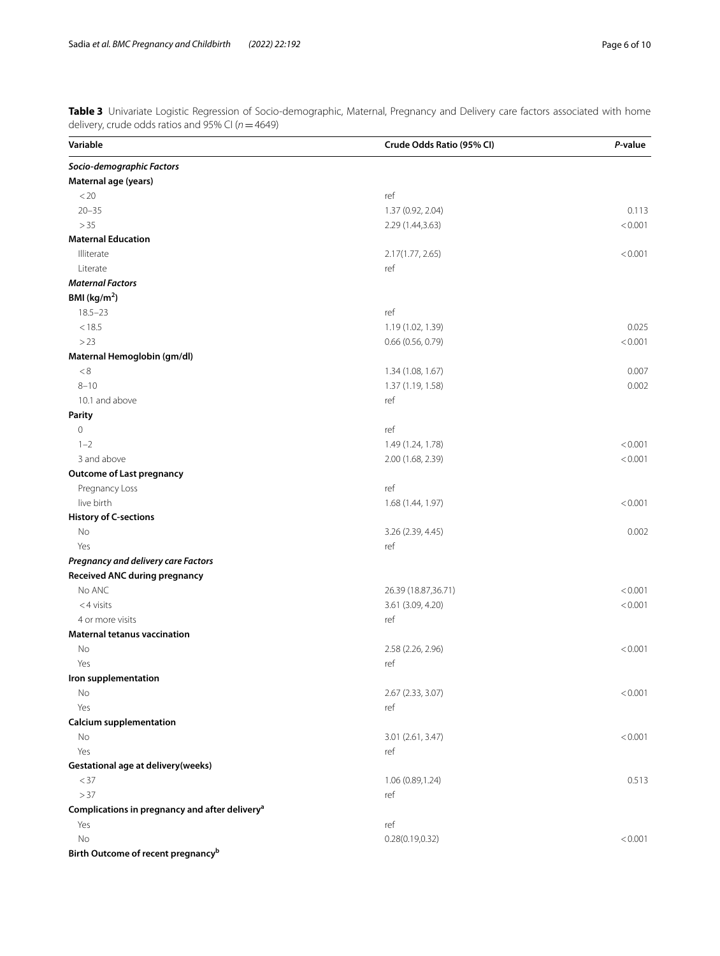<span id="page-5-0"></span>**Table 3** Univariate Logistic Regression of Socio-demographic, Maternal, Pregnancy and Delivery care factors associated with home delivery, crude odds ratios and 95% CI (*n*=4649)

| Variable                                                   | Crude Odds Ratio (95% CI) | P-value |
|------------------------------------------------------------|---------------------------|---------|
| Socio-demographic Factors                                  |                           |         |
| Maternal age (years)                                       |                           |         |
| < 20                                                       | ref                       |         |
| $20 - 35$                                                  | 1.37 (0.92, 2.04)         | 0.113   |
| >35                                                        | 2.29 (1.44,3.63)          | < 0.001 |
| <b>Maternal Education</b>                                  |                           |         |
| Illiterate                                                 | 2.17(1.77, 2.65)          | < 0.001 |
| Literate                                                   | ref                       |         |
| <b>Maternal Factors</b>                                    |                           |         |
| BMI ( $kg/m2$ )                                            |                           |         |
| $18.5 - 23$                                                | ref                       |         |
| < 18.5                                                     | 1.19 (1.02, 1.39)         | 0.025   |
| >23                                                        | 0.66 (0.56, 0.79)         | < 0.001 |
| Maternal Hemoglobin (gm/dl)                                |                           |         |
| $< 8$                                                      | 1.34 (1.08, 1.67)         | 0.007   |
| $8 - 10$                                                   | 1.37 (1.19, 1.58)         | 0.002   |
| 10.1 and above                                             | ref                       |         |
| <b>Parity</b>                                              |                           |         |
| $\mathbb O$                                                | ref                       |         |
| $1 - 2$                                                    | 1.49 (1.24, 1.78)         | < 0.001 |
| 3 and above                                                | 2.00 (1.68, 2.39)         | < 0.001 |
| <b>Outcome of Last pregnancy</b>                           |                           |         |
| Pregnancy Loss                                             | ref                       |         |
| live birth                                                 | 1.68 (1.44, 1.97)         | < 0.001 |
| <b>History of C-sections</b>                               |                           |         |
| No                                                         | 3.26 (2.39, 4.45)         | 0.002   |
| Yes                                                        | ref                       |         |
| Pregnancy and delivery care Factors                        |                           |         |
| Received ANC during pregnancy                              |                           |         |
| No ANC                                                     | 26.39 (18.87,36.71)       | < 0.001 |
| $<$ 4 visits                                               | 3.61 (3.09, 4.20)         | < 0.001 |
| 4 or more visits                                           | ref                       |         |
| <b>Maternal tetanus vaccination</b>                        |                           |         |
| No                                                         | 2.58 (2.26, 2.96)         | < 0.001 |
| Yes                                                        | ref                       |         |
| Iron supplementation                                       |                           |         |
| No                                                         | 2.67 (2.33, 3.07)         | < 0.001 |
| Yes                                                        | ref                       |         |
| <b>Calcium supplementation</b>                             |                           |         |
| No                                                         | 3.01 (2.61, 3.47)         | < 0.001 |
| Yes                                                        | ref                       |         |
| Gestational age at delivery (weeks)                        |                           |         |
| $<$ 37                                                     | 1.06 (0.89,1.24)          | 0.513   |
| >37                                                        | ref                       |         |
| Complications in pregnancy and after delivery <sup>a</sup> |                           |         |
| Yes                                                        | ref                       |         |
| No                                                         | 0.28(0.19, 0.32)          | < 0.001 |
| Birth Outcome of recent pregnancy <sup>b</sup>             |                           |         |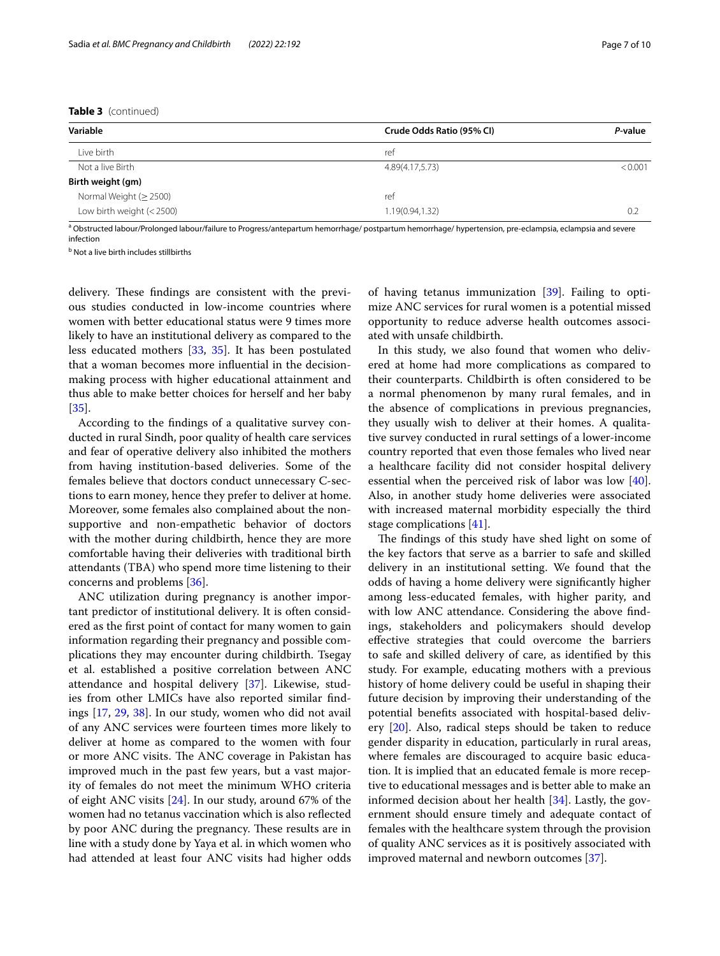**Table 3** (continued)

| Variable                     | Crude Odds Ratio (95% CI) | P-value |
|------------------------------|---------------------------|---------|
| Live birth                   | ref                       |         |
| Not a live Birth             | 4.89(4.17,5.73)           | < 0.001 |
| Birth weight (gm)            |                           |         |
| Normal Weight ( $\geq$ 2500) | ref                       |         |
| Low birth weight $(< 2500)$  | 1.19(0.94,1.32)           | -0.2    |

<sup>a</sup> Obstructed labour/Prolonged labour/failure to Progress/antepartum hemorrhage/ postpartum hemorrhage/ hypertension, pre-eclampsia, eclampsia and severe infection

<sup>b</sup> Not a live birth includes stillbirths

delivery. These findings are consistent with the previous studies conducted in low-income countries where women with better educational status were 9 times more likely to have an institutional delivery as compared to the less educated mothers [[33,](#page-8-28) [35\]](#page-8-30). It has been postulated that a woman becomes more infuential in the decisionmaking process with higher educational attainment and thus able to make better choices for herself and her baby [[35\]](#page-8-30).

According to the fndings of a qualitative survey conducted in rural Sindh, poor quality of health care services and fear of operative delivery also inhibited the mothers from having institution-based deliveries. Some of the females believe that doctors conduct unnecessary C-sections to earn money, hence they prefer to deliver at home. Moreover, some females also complained about the nonsupportive and non-empathetic behavior of doctors with the mother during childbirth, hence they are more comfortable having their deliveries with traditional birth attendants (TBA) who spend more time listening to their concerns and problems [\[36](#page-9-0)].

ANC utilization during pregnancy is another important predictor of institutional delivery. It is often considered as the frst point of contact for many women to gain information regarding their pregnancy and possible complications they may encounter during childbirth. Tsegay et al. established a positive correlation between ANC attendance and hospital delivery [[37\]](#page-9-1). Likewise, studies from other LMICs have also reported similar fndings [[17,](#page-8-13) [29,](#page-8-23) [38\]](#page-9-2). In our study, women who did not avail of any ANC services were fourteen times more likely to deliver at home as compared to the women with four or more ANC visits. The ANC coverage in Pakistan has improved much in the past few years, but a vast majority of females do not meet the minimum WHO criteria of eight ANC visits [[24\]](#page-8-19). In our study, around 67% of the women had no tetanus vaccination which is also refected by poor ANC during the pregnancy. These results are in line with a study done by Yaya et al. in which women who had attended at least four ANC visits had higher odds of having tetanus immunization [[39\]](#page-9-3). Failing to optimize ANC services for rural women is a potential missed opportunity to reduce adverse health outcomes associated with unsafe childbirth.

In this study, we also found that women who delivered at home had more complications as compared to their counterparts. Childbirth is often considered to be a normal phenomenon by many rural females, and in the absence of complications in previous pregnancies, they usually wish to deliver at their homes. A qualitative survey conducted in rural settings of a lower-income country reported that even those females who lived near a healthcare facility did not consider hospital delivery essential when the perceived risk of labor was low [\[40](#page-9-4)]. Also, in another study home deliveries were associated with increased maternal morbidity especially the third stage complications [[41](#page-9-5)].

The findings of this study have shed light on some of the key factors that serve as a barrier to safe and skilled delivery in an institutional setting. We found that the odds of having a home delivery were signifcantly higher among less-educated females, with higher parity, and with low ANC attendance. Considering the above fndings, stakeholders and policymakers should develop efective strategies that could overcome the barriers to safe and skilled delivery of care, as identifed by this study. For example, educating mothers with a previous history of home delivery could be useful in shaping their future decision by improving their understanding of the potential benefts associated with hospital-based delivery [\[20\]](#page-8-15). Also, radical steps should be taken to reduce gender disparity in education, particularly in rural areas, where females are discouraged to acquire basic education. It is implied that an educated female is more receptive to educational messages and is better able to make an informed decision about her health [\[34](#page-8-29)]. Lastly, the government should ensure timely and adequate contact of females with the healthcare system through the provision of quality ANC services as it is positively associated with improved maternal and newborn outcomes [\[37\]](#page-9-1).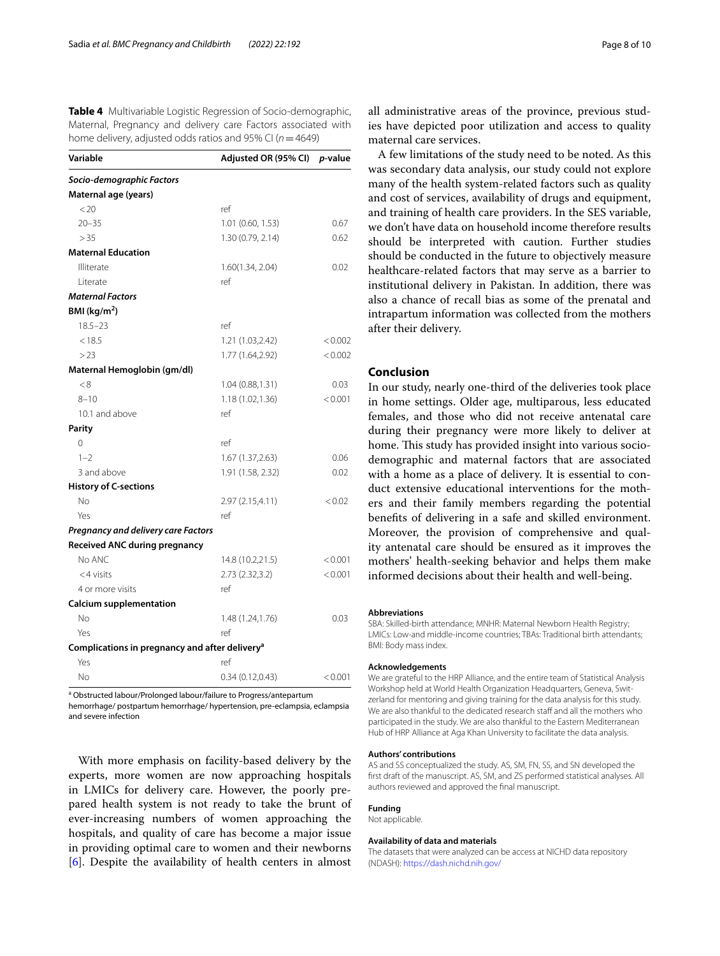<span id="page-7-0"></span>**Table 4** Multivariable Logistic Regression of Socio-demographic, Maternal, Pregnancy and delivery care Factors associated with home delivery, adjusted odds ratios and 95% CI (*n*=4649)

| Variable                                                   | Adjusted OR (95% CI) | <i>p</i> -value |
|------------------------------------------------------------|----------------------|-----------------|
| Socio-demographic Factors                                  |                      |                 |
| Maternal age (years)                                       |                      |                 |
| < 20                                                       | ref                  |                 |
| $20 - 35$                                                  | 1.01 (0.60, 1.53)    | 0.67            |
| > 35                                                       | 1.30 (0.79, 2.14)    | 0.62            |
| <b>Maternal Education</b>                                  |                      |                 |
| Illiterate                                                 | 1.60(1.34, 2.04)     | 0.02            |
| l iterate                                                  | ref                  |                 |
| <b>Maternal Factors</b>                                    |                      |                 |
| BMI ( $kg/m2$ )                                            |                      |                 |
| $18.5 - 23$                                                | ref                  |                 |
| < 18.5                                                     | 1.21 (1.03,2.42)     | < 0.002         |
| >23                                                        | 1.77 (1.64,2.92)     | < 0.002         |
| Maternal Hemoglobin (gm/dl)                                |                      |                 |
| < 8                                                        | 1.04(0.88, 1.31)     | 0.03            |
| $8 - 10$                                                   | 1.18(1.02, 1.36)     | < 0.001         |
| 10.1 and above                                             | ref                  |                 |
| Parity                                                     |                      |                 |
| 0                                                          | ref                  |                 |
| $1 - 2$                                                    | 1.67 (1.37, 2.63)    | 0.06            |
| 3 and above                                                | 1.91 (1.58, 2.32)    | 0.02            |
| <b>History of C-sections</b>                               |                      |                 |
| No                                                         | 2.97 (2.15,4.11)     | < 0.02          |
| Yes                                                        | ref                  |                 |
| Pregnancy and delivery care Factors                        |                      |                 |
| <b>Received ANC during pregnancy</b>                       |                      |                 |
| No ANC                                                     | 14.8 (10.2,21.5)     | < 0.001         |
| $<$ 4 visits                                               | 2.73 (2.32,3.2)      | < 0.001         |
| 4 or more visits                                           | ref                  |                 |
| <b>Calcium supplementation</b>                             |                      |                 |
| No                                                         | 1.48 (1.24,1.76)     | 0.03            |
| Yes                                                        | ref                  |                 |
| Complications in pregnancy and after delivery <sup>a</sup> |                      |                 |
| Yes                                                        | ref                  |                 |
| No                                                         | 0.34(0.12,0.43)      | < 0.001         |

<sup>a</sup> Obstructed labour/Prolonged labour/failure to Progress/antepartum

hemorrhage/ postpartum hemorrhage/ hypertension, pre-eclampsia, eclampsia and severe infection

With more emphasis on facility-based delivery by the experts, more women are now approaching hospitals in LMICs for delivery care. However, the poorly prepared health system is not ready to take the brunt of ever-increasing numbers of women approaching the hospitals, and quality of care has become a major issue in providing optimal care to women and their newborns [[6\]](#page-8-5). Despite the availability of health centers in almost

all administrative areas of the province, previous studies have depicted poor utilization and access to quality maternal care services.

A few limitations of the study need to be noted. As this was secondary data analysis, our study could not explore many of the health system-related factors such as quality and cost of services, availability of drugs and equipment, and training of health care providers. In the SES variable, we don't have data on household income therefore results should be interpreted with caution. Further studies should be conducted in the future to objectively measure healthcare-related factors that may serve as a barrier to institutional delivery in Pakistan. In addition, there was also a chance of recall bias as some of the prenatal and intrapartum information was collected from the mothers after their delivery.

# **Conclusion**

In our study, nearly one-third of the deliveries took place in home settings. Older age, multiparous, less educated females, and those who did not receive antenatal care during their pregnancy were more likely to deliver at home. This study has provided insight into various sociodemographic and maternal factors that are associated with a home as a place of delivery. It is essential to conduct extensive educational interventions for the mothers and their family members regarding the potential benefts of delivering in a safe and skilled environment. Moreover, the provision of comprehensive and quality antenatal care should be ensured as it improves the mothers' health-seeking behavior and helps them make informed decisions about their health and well-being.

#### **Abbreviations**

SBA: Skilled-birth attendance; MNHR: Maternal Newborn Health Registry; LMICs: Low-and middle-income countries; TBAs: Traditional birth attendants; BMI: Body mass index.

#### **Acknowledgements**

We are grateful to the HRP Alliance, and the entire team of Statistical Analysis Workshop held at World Health Organization Headquarters, Geneva, Switzerland for mentoring and giving training for the data analysis for this study. We are also thankful to the dedicated research staff and all the mothers who participated in the study. We are also thankful to the Eastern Mediterranean Hub of HRP Alliance at Aga Khan University to facilitate the data analysis.

#### **Authors' contributions**

AS and SS conceptualized the study. AS, SM, FN, SS, and SN developed the frst draft of the manuscript. AS, SM, and ZS performed statistical analyses. All authors reviewed and approved the fnal manuscript.

## **Funding**

Not applicable.

#### **Availability of data and materials**

The datasets that were analyzed can be access at NICHD data repository (NDASH): <https://dash.nichd.nih.gov/>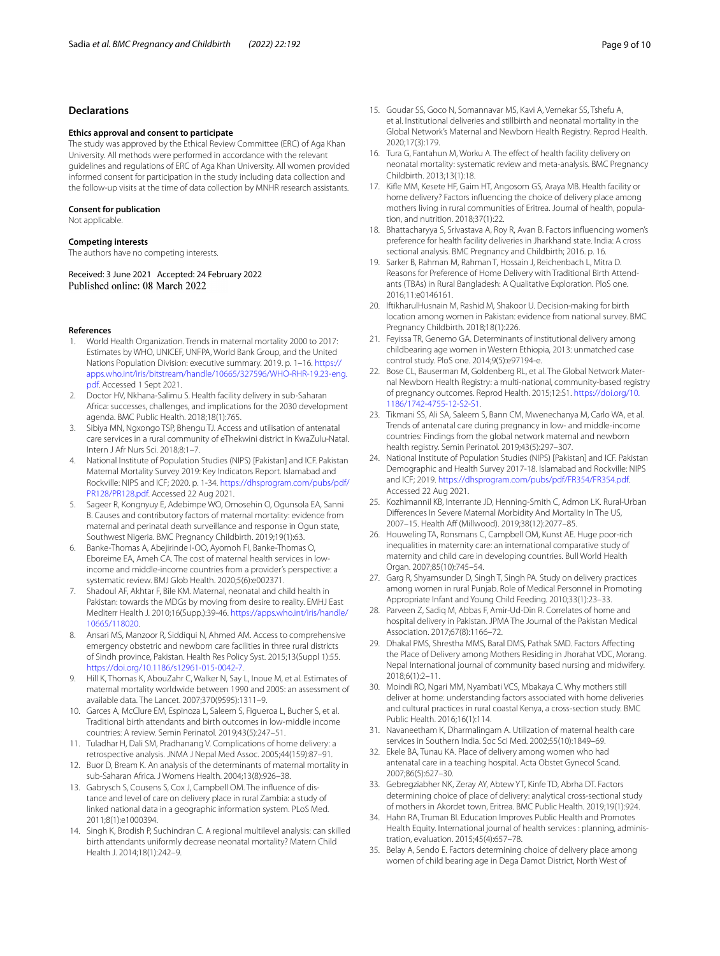## **Declarations**

#### **Ethics approval and consent to participate**

The study was approved by the Ethical Review Committee (ERC) of Aga Khan University. All methods were performed in accordance with the relevant guidelines and regulations of ERC of Aga Khan University. All women provided informed consent for participation in the study including data collection and the follow-up visits at the time of data collection by MNHR research assistants.

#### **Consent for publication**

Not applicable.

#### **Competing interests**

The authors have no competing interests.

Received: 3 June 2021 Accepted: 24 February 2022 Published online: 08 March 2022

#### **References**

- <span id="page-8-0"></span>1. World Health Organization. Trends in maternal mortality 2000 to 2017: Estimates by WHO, UNICEF, UNFPA, World Bank Group, and the United Nations Population Division: executive summary. 2019. p. 1–16. [https://](https://apps.who.int/iris/bitstream/handle/10665/327596/WHO-RHR-19.23-eng.pdf) [apps.who.int/iris/bitstream/handle/10665/327596/WHO-RHR-19.23-eng.](https://apps.who.int/iris/bitstream/handle/10665/327596/WHO-RHR-19.23-eng.pdf) [pdf.](https://apps.who.int/iris/bitstream/handle/10665/327596/WHO-RHR-19.23-eng.pdf) Accessed 1 Sept 2021.
- <span id="page-8-1"></span>2. Doctor HV, Nkhana-Salimu S. Health facility delivery in sub-Saharan Africa: successes, challenges, and implications for the 2030 development agenda. BMC Public Health. 2018;18(1):765.
- <span id="page-8-2"></span>3. Sibiya MN, Ngxongo TSP, Bhengu TJ. Access and utilisation of antenatal care services in a rural community of eThekwini district in KwaZulu-Natal. Intern J Afr Nurs Sci. 2018;8:1–7.
- <span id="page-8-3"></span>4. National Institute of Population Studies (NIPS) [Pakistan] and ICF. Pakistan Maternal Mortality Survey 2019: Key Indicators Report. Islamabad and Rockville: NIPS and ICF; 2020. p. 1-34. [https://dhsprogram.com/pubs/pdf/](https://dhsprogram.com/pubs/pdf/PR128/PR128.pdf) [PR128/PR128.pdf.](https://dhsprogram.com/pubs/pdf/PR128/PR128.pdf) Accessed 22 Aug 2021.
- <span id="page-8-4"></span>5. Sageer R, Kongnyuy E, Adebimpe WO, Omosehin O, Ogunsola EA, Sanni B. Causes and contributory factors of maternal mortality: evidence from maternal and perinatal death surveillance and response in Ogun state, Southwest Nigeria. BMC Pregnancy Childbirth. 2019;19(1):63.
- <span id="page-8-5"></span>6. Banke-Thomas A, Abejirinde I-OO, Ayomoh FI, Banke-Thomas O, Eboreime EA, Ameh CA. The cost of maternal health services in lowincome and middle-income countries from a provider's perspective: a systematic review. BMJ Glob Health. 2020;5(6):e002371.
- <span id="page-8-6"></span>7. Shadoul AF, Akhtar F, Bile KM. Maternal, neonatal and child health in Pakistan: towards the MDGs by moving from desire to reality. EMHJ East Mediterr Health J. 2010;16(Supp.):39-46. [https://apps.who.int/iris/handle/](https://apps.who.int/iris/handle/10665/118020) [10665/118020.](https://apps.who.int/iris/handle/10665/118020)
- <span id="page-8-7"></span>8. Ansari MS, Manzoor R, Siddiqui N, Ahmed AM. Access to comprehensive emergency obstetric and newborn care facilities in three rural districts of Sindh province, Pakistan. Health Res Policy Syst. 2015;13(Suppl 1):55. [https://doi.org/10.1186/s12961-015-0042-7.](https://doi.org/10.1186/s12961-015-0042-7)
- <span id="page-8-8"></span>9. Hill K, Thomas K, AbouZahr C, Walker N, Say L, Inoue M, et al. Estimates of maternal mortality worldwide between 1990 and 2005: an assessment of available data. The Lancet. 2007;370(9595):1311–9.
- <span id="page-8-9"></span>10. Garces A, McClure EM, Espinoza L, Saleem S, Figueroa L, Bucher S, et al. Traditional birth attendants and birth outcomes in low-middle income countries: A review. Semin Perinatol. 2019;43(5):247–51.
- <span id="page-8-10"></span>11. Tuladhar H, Dali SM, Pradhanang V. Complications of home delivery: a retrospective analysis. JNMA J Nepal Med Assoc. 2005;44(159):87–91.
- <span id="page-8-11"></span>12. Buor D, Bream K. An analysis of the determinants of maternal mortality in sub-Saharan Africa. J Womens Health. 2004;13(8):926–38.
- 13. Gabrysch S, Cousens S, Cox J, Campbell OM. The infuence of distance and level of care on delivery place in rural Zambia: a study of linked national data in a geographic information system. PLoS Med. 2011;8(1):e1000394.
- 14. Singh K, Brodish P, Suchindran C. A regional multilevel analysis: can skilled birth attendants uniformly decrease neonatal mortality? Matern Child Health J. 2014;18(1):242–9.
- 15. Goudar SS, Goco N, Somannavar MS, Kavi A, Vernekar SS, Tshefu A, et al. Institutional deliveries and stillbirth and neonatal mortality in the Global Network's Maternal and Newborn Health Registry. Reprod Health. 2020;17(3):179.
- <span id="page-8-12"></span>16. Tura G, Fantahun M, Worku A. The effect of health facility delivery on neonatal mortality: systematic review and meta-analysis. BMC Pregnancy Childbirth. 2013;13(1):18.
- <span id="page-8-13"></span>17. Kife MM, Kesete HF, Gaim HT, Angosom GS, Araya MB. Health facility or home delivery? Factors infuencing the choice of delivery place among mothers living in rural communities of Eritrea. Journal of health, population, and nutrition. 2018;37(1):22.
- 18. Bhattacharyya S, Srivastava A, Roy R, Avan B. Factors infuencing women's preference for health facility deliveries in Jharkhand state. India: A cross sectional analysis. BMC Pregnancy and Childbirth; 2016. p. 16.
- <span id="page-8-14"></span>19. Sarker B, Rahman M, Rahman T, Hossain J, Reichenbach L, Mitra D. Reasons for Preference of Home Delivery with Traditional Birth Attendants (TBAs) in Rural Bangladesh: A Qualitative Exploration. PloS one. 2016;11:e0146161.
- <span id="page-8-15"></span>20. IftikharulHusnain M, Rashid M, Shakoor U. Decision-making for birth location among women in Pakistan: evidence from national survey. BMC Pregnancy Childbirth. 2018;18(1):226.
- <span id="page-8-16"></span>21. Feyissa TR, Genemo GA. Determinants of institutional delivery among childbearing age women in Western Ethiopia, 2013: unmatched case control study. PloS one. 2014;9(5):e97194-e.
- <span id="page-8-17"></span>22. Bose CL, Bauserman M, Goldenberg RL, et al. The Global Network Maternal Newborn Health Registry: a multi-national, community-based registry of pregnancy outcomes. Reprod Health. 2015;12:S1. [https://doi.org/10.](https://doi.org/10.1186/1742-4755-12-S2-S1) [1186/1742-4755-12-S2-S1.](https://doi.org/10.1186/1742-4755-12-S2-S1)
- <span id="page-8-18"></span>23. Tikmani SS, Ali SA, Saleem S, Bann CM, Mwenechanya M, Carlo WA, et al. Trends of antenatal care during pregnancy in low- and middle-income countries: Findings from the global network maternal and newborn health registry. Semin Perinatol. 2019;43(5):297–307.
- <span id="page-8-19"></span>24. National Institute of Population Studies (NIPS) [Pakistan] and ICF. Pakistan Demographic and Health Survey 2017-18. Islamabad and Rockville: NIPS and ICF; 2019. <https://dhsprogram.com/pubs/pdf/FR354/FR354.pdf>. Accessed 22 Aug 2021.
- <span id="page-8-20"></span>25. Kozhimannil KB, Interrante JD, Henning-Smith C, Admon LK. Rural-Urban Diferences In Severe Maternal Morbidity And Mortality In The US, 2007–15. Health Aff (Millwood). 2019:38(12):2077–85.
- <span id="page-8-21"></span>26. Houweling TA, Ronsmans C, Campbell OM, Kunst AE. Huge poor-rich inequalities in maternity care: an international comparative study of maternity and child care in developing countries. Bull World Health Organ. 2007;85(10):745–54.
- <span id="page-8-22"></span>27. Garg R, Shyamsunder D, Singh T, Singh PA. Study on delivery practices among women in rural Punjab. Role of Medical Personnel in Promoting Appropriate Infant and Young Child Feeding. 2010;33(1):23–33.
- <span id="page-8-24"></span>28. Parveen Z, Sadiq M, Abbas F, Amir-Ud-Din R. Correlates of home and hospital delivery in Pakistan. JPMA The Journal of the Pakistan Medical Association. 2017;67(8):1166–72.
- <span id="page-8-23"></span>29. Dhakal PMS, Shrestha MMS, Baral DMS, Pathak SMD. Factors Afecting the Place of Delivery among Mothers Residing in Jhorahat VDC, Morang. Nepal International journal of community based nursing and midwifery. 2018;6(1):2–11.
- <span id="page-8-25"></span>30. Moindi RO, Ngari MM, Nyambati VCS, Mbakaya C. Why mothers still deliver at home: understanding factors associated with home deliveries and cultural practices in rural coastal Kenya, a cross-section study. BMC Public Health. 2016;16(1):114.
- <span id="page-8-26"></span>31. Navaneetham K, Dharmalingam A. Utilization of maternal health care services in Southern India. Soc Sci Med. 2002;55(10):1849–69.
- <span id="page-8-27"></span>32. Ekele BA, Tunau KA. Place of delivery among women who had antenatal care in a teaching hospital. Acta Obstet Gynecol Scand. 2007;86(5):627–30.
- <span id="page-8-28"></span>33. Gebregziabher NK, Zeray AY, Abtew YT, Kinfe TD, Abrha DT. Factors determining choice of place of delivery: analytical cross-sectional study of mothers in Akordet town, Eritrea. BMC Public Health. 2019;19(1):924.
- <span id="page-8-29"></span>34. Hahn RA, Truman BI. Education Improves Public Health and Promotes Health Equity. International journal of health services : planning, administration, evaluation. 2015;45(4):657–78.
- <span id="page-8-30"></span>35. Belay A, Sendo E. Factors determining choice of delivery place among women of child bearing age in Dega Damot District, North West of